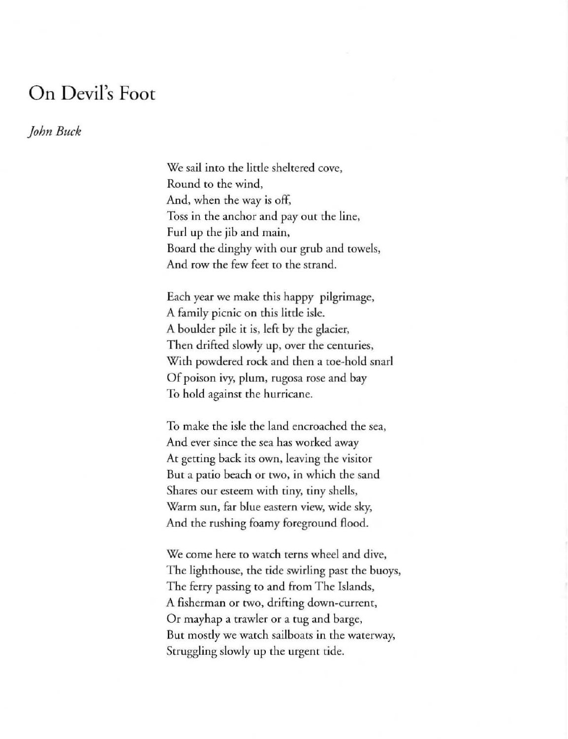## **On** Devil's **Foot**

## *John Buck*

We sail into the little sheltered cove, **Round to the wind,**  And, when the way is off, Toss in rhe anchor and pay our the line, Furl up rhe jib and main, Board the dinghy wim our grub and towels, And row the few feet to the strand.

Each yeat we make this happy pilgrimage, A family picnic on this little isle. A boulder pile it is, left by rhe glacier, Then drifted slowly up, over the centuries, With powdered rock and then a toe-hold snarl Of poison ivy, plum, rugosa rose and bay To hold against the hurricane.

To make the isle the land encroached the sea, **And ever since the sea has worked away At getting back its own, leaving the visitor**  But a patio beach or two, in which the sand Shares our esteem with tiny, tiny shells, **Warm sun, far blue eastern view, wide sky,**  And the rushing foamy foreground flood.

**We come here to watch terns wheel and dive,**  The lighthouse, the tide swirling past the buoys, The ferry passing to and from The Islands, **A fisherman or two, drifting down-current,**  Or mayhap a trawler or a tug and barge, **But mostly we watch sailboats in the waterway.**  Struggling slowly up the urgent tide.